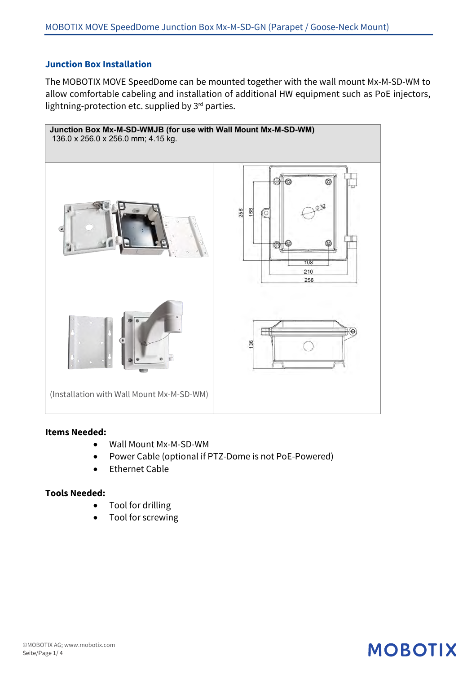## **Junction Box Installation**

The MOBOTIX MOVE SpeedDome can be mounted together with the wall mount Mx-M-SD-WM to allow comfortable cabeling and installation of additional HW equipment such as PoE injectors, lightning-protection etc. supplied by  $3<sup>rd</sup>$  parties.



### **Items Needed:**

- Wall Mount Mx-M-SD-WM
- Power Cable (optional if PTZ-Dome is not PoE-Powered)
- Ethernet Cable

### **Tools Needed:**

- Tool for drilling
- Tool for screwing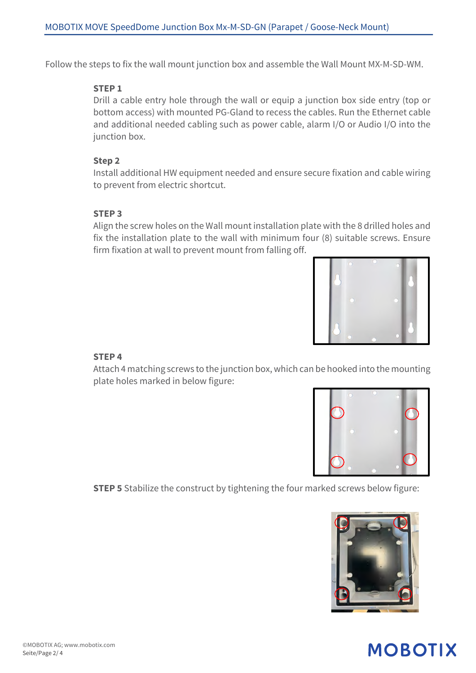Follow the steps to fix the wall mount junction box and assemble the Wall Mount MX-M-SD-WM.

### **STEP 1**

Drill a cable entry hole through the wall or equip a junction box side entry (top or bottom access) with mounted PG-Gland to recess the cables. Run the Ethernet cable and additional needed cabling such as power cable, alarm I/O or Audio I/O into the junction box.

## **Step 2**

Install additional HW equipment needed and ensure secure fixation and cable wiring to prevent from electric shortcut.

## **STEP 3**

Align the screw holes on the Wall mount installation plate with the 8 drilled holes and fix the installation plate to the wall with minimum four (8) suitable screws. Ensure firm fixation at wall to prevent mount from falling off.



# **STEP 4**

Attach 4 matching screws to the junction box, which can be hooked into the mounting plate holes marked in below figure:



**STEP 5** Stabilize the construct by tightening the four marked screws below figure:

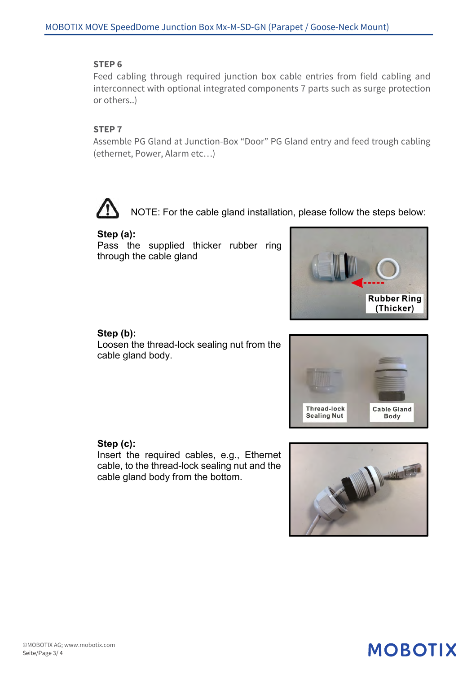#### **STEP 6**

Feed cabling through required junction box cable entries from field cabling and interconnect with optional integrated components 7 parts such as surge protection or others..)

#### **STEP 7**

Assemble PG Gland at Junction-Box "Door" PG Gland entry and feed trough cabling (ethernet, Power, Alarm etc…)

NOTE: For the cable gland installation, please follow the steps below:

#### **Step (a):**

Pass the supplied thicker rubber ring through the cable gland



#### **Step (b):**

Loosen the thread-lock sealing nut from the cable gland body.



### **Step (c):**

Insert the required cables, e.g., Ethernet cable, to the thread-lock sealing nut and the cable gland body from the bottom.